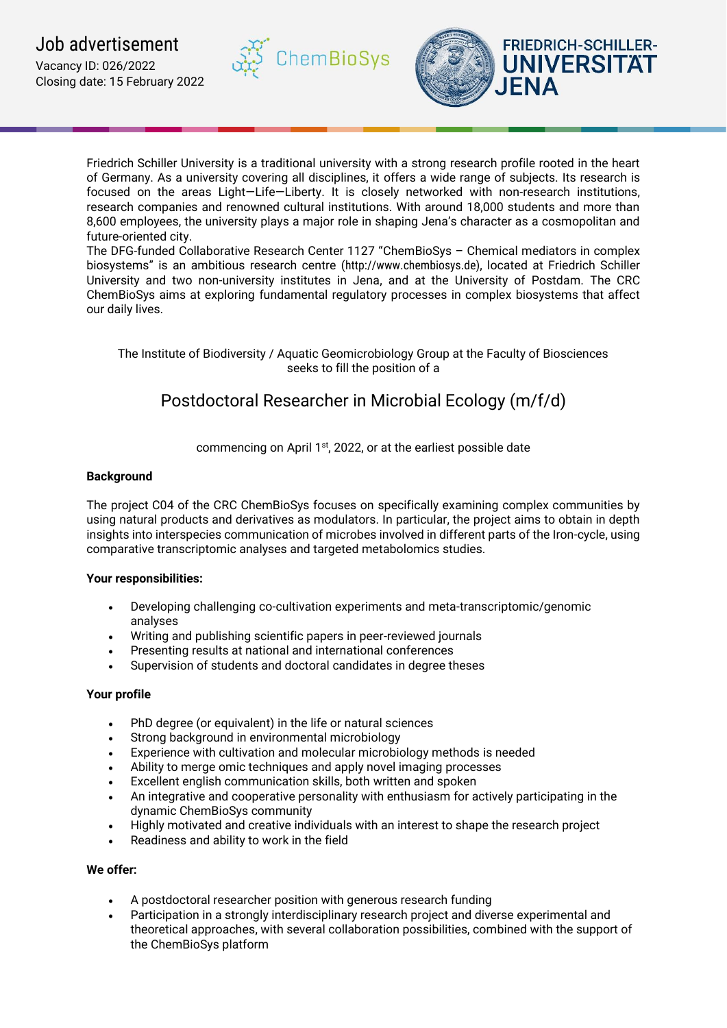

Friedrich Schiller University is a traditional university with a strong research profile rooted in the heart of Germany. As a university covering all disciplines, it offers a wide range of subjects. Its research is focused on the areas Light—Life—Liberty. It is closely networked with non-research institutions, research companies and renowned cultural institutions. With around 18,000 students and more than 8,600 employees, the university plays a major role in shaping Jena's character as a cosmopolitan and future-oriented city.

**ChemBioSys** 

The DFG-funded Collaborative Research Center 1127 "ChemBioSys – Chemical mediators in complex biosystems" is an ambitious research centre (http://www.chembiosys.de), located at Friedrich Schiller University and two non-university institutes in Jena, and at the University of Postdam. The CRC ChemBioSys aims at exploring fundamental regulatory processes in complex biosystems that affect our daily lives.

The Institute of Biodiversity / Aquatic Geomicrobiology Group at the Faculty of Biosciences seeks to fill the position of a

# Postdoctoral Researcher in Microbial Ecology (m/f/d)

commencing on April 1<sup>st</sup>, 2022, or at the earliest possible date

# **Background**

The project C04 of the CRC ChemBioSys focuses on specifically examining complex communities by using natural products and derivatives as modulators. In particular, the project aims to obtain in depth insights into interspecies communication of microbes involved in different parts of the Iron-cycle, using comparative transcriptomic analyses and targeted metabolomics studies.

# **Your responsibilities:**

- Developing challenging co-cultivation experiments and meta-transcriptomic/genomic analyses
- Writing and publishing scientific papers in peer-reviewed journals
- Presenting results at national and international conferences
- Supervision of students and doctoral candidates in degree theses

# **Your profile**

- PhD degree (or equivalent) in the life or natural sciences
- Strong background in environmental microbiology
- Experience with cultivation and molecular microbiology methods is needed
- Ability to merge omic techniques and apply novel imaging processes
- Excellent english communication skills, both written and spoken
- An integrative and cooperative personality with enthusiasm for actively participating in the dynamic ChemBioSys community
- Highly motivated and creative individuals with an interest to shape the research project
- Readiness and ability to work in the field

# **We offer:**

- A postdoctoral researcher position with generous research funding
- Participation in a strongly interdisciplinary research project and diverse experimental and theoretical approaches, with several collaboration possibilities, combined with the support of the ChemBioSys platform